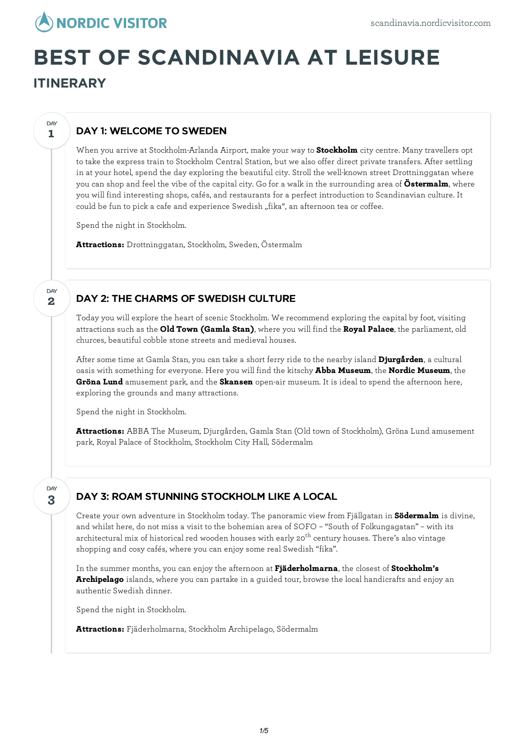

# **BEST OF SCANDINAVIA AT LEISURE**

**ITINERARY**

**1**

**DAY** 

**2**

DAY

# DAY 1: WELCOME TO SWEDEN

When you arrive at Stockholm-Arlanda Airport, make your way to **Stockholm** city centre. Many travellers opt to take the express train to Stockholm Central Station, but we also offer direct private transfers. After settling in at your hotel, spend the day exploring the beautiful city. Stroll the well-known street Drottninggatan where you can shop and feel the vibe of the capital city. Go for a walk in the surrounding area of **Östermalm**, where you will find interesting shops, cafés, and restaurants for a perfect introduction to Scandinavian culture. It could be fun to pick a cafe and experience Swedish "fika", an afternoon tea or coffee.

Spend the night in Stockholm.

**Attractions:** Drottninggatan, Stockholm, Sweden, Östermalm

### DAY 2: THE CHARMS OF SWEDISH CULTURE

Today you willexplore the heart of scenic Stockholm. We recommend exploring the capital by foot, visiting attractions such as the **Old Town (Gamla Stan)**, where you will find the **Royal Palace**, the parliament, old churces, beautiful cobble stone streets and medieval houses.

After some time at Gamla Stan, you can take a short ferry ride to the nearby island **Djurgården**, a cultural oasis with something for everyone. Here you will find the kitschy **Abba Museum**, the **Nordic Museum**, the **Gröna Lund** amusement park, and the **Skansen** open-air museum. It is ideal to spend the afternoon here, exploring the grounds and many attractions.

Spend the night in Stockholm.

**Attractions:** ABBA The Museum, Djurgården, Gamla Stan (Old town of Stockholm), Gröna Lund amusement park, Royal Palace of Stockholm, Stockholm City Hall, Södermalm

**3** DAY

# DAY 3: ROAM STUNNING STOCKHOLM LIKE A LOCAL

Create your own adventure in Stockholm today. The panoramic view from Fjällgatan in **Södermalm** is divine, and whilst here, do not miss a visit to the bohemian area of SOFO – "South of Folkungagatan" – with its architectural mix of historical red wooden houses with early 20<sup>th</sup> century houses. There's also vintage shopping and cosy cafés, where you can enjoy some real Swedish "fika".

In the summer months, you can enjoy the afternoon at **Fjäderholmarna**, the closest of **Stockholm's Archipelago** islands, where you can partake in a guided tour, browse the local handicrafts and enjoy an authentic Swedish dinner.

Spend the night in Stockholm.

**Attractions:** Fjäderholmarna, Stockholm Archipelago, Södermalm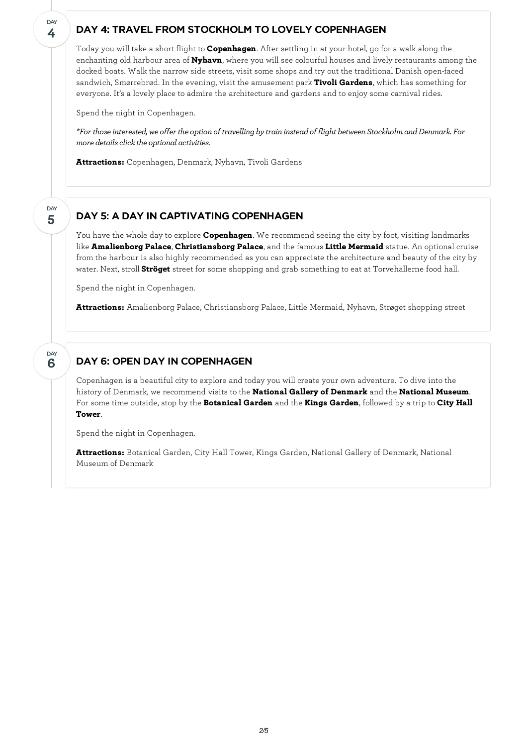#### DAY 4: TRAVEL FROM STOCKHOLM TO LOVELY COPENHAGEN

Today you will take a short flight to **Copenhagen**. After settling in at your hotel, go for a walk along the enchanting old harbour area of **Nyhavn**, where you will see colourful houses and lively restaurants among the docked boats. Walk the narrow side streets, visit some shops and try out the traditional Danish open-faced sandwich, Smørrebrød. In the evening, visit the amusement park **Tivoli Gardens**, which has something for everyone. It's a lovely place to admire the architecture and gardens and to enjoy some carnival rides.

Spend the night in Copenhagen.

*\*For thoseinterested, we offer the option of travelling bytrain insteadof flight between StockholmandDenmark. For*  $m$ ore *details click the optional activities.* 

**Attractions:** Copenhagen, Denmark, Nyhavn, Tivoli Gardens

#### **5** DAY

**6**

DAY

**4**

**DAY** 

# DAY 5: A DAY IN CAPTIVATING COPENHAGEN

You have the whole day to explore **Copenhagen**. We recommend seeing the city by foot, visiting landmarks like **Amalienborg Palace**, **Christiansborg Palace**, and the famous **Little Mermaid** statue. An optional cruise from the harbour is also highly recommended as you can appreciate the architecture and beauty of the city by water. Next, stroll **Ströget** street for some shopping and grab something to eat at Torvehallerne food hall.

Spend the night in Copenhagen.

**Attractions:** Amalienborg Palace, Christiansborg Palace, Little Mermaid, Nyhavn, Strøget shopping street

# DAY 6: OPEN DAY IN COPENHAGEN

Copenhagen is a beautiful city to explore and today you will create your own adventure. To dive into the history of Denmark, we recommend visits to the **National Gallery of Denmark** and the **National Museum**. For some time outside, stop by the **Botanical Garden** and the **Kings Garden**, followed by a trip to **City Hall Tower**.

Spend the night in Copenhagen.

**Attractions:** Botanical Garden, City Hall Tower, Kings Garden, National Gallery of Denmark, National Museum of Denmark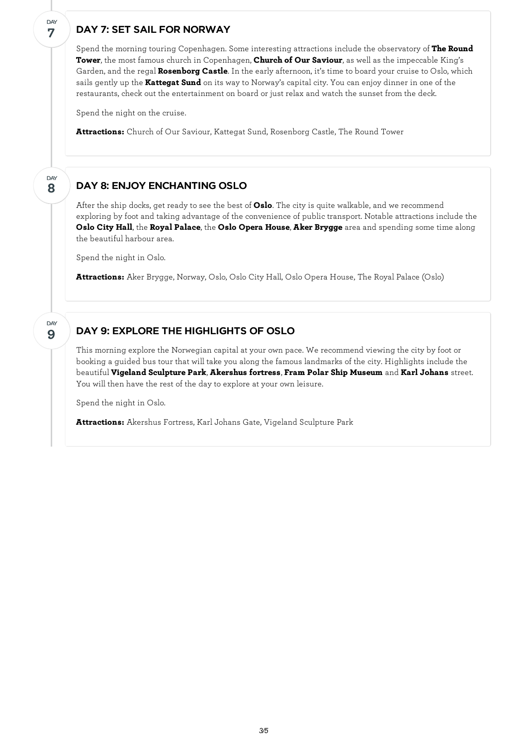# DAY 7: SET SAIL FOR NORWAY

**7**

DAY

**8**

DAY

**9**

DAY

Spend the morning touring Copenhagen. Some interesting attractions include the observatory of **The Round Tower**, the most famous church in Copenhagen, **Church of Our Saviour**, as well as the impeccable King's Garden, and the regal **Rosenborg Castle**. In the early afternoon, it's time to board your cruise to Oslo, which sails gently up the **Kattegat Sund** on its way to Norway's capital city. You can enjoy dinner in one of the restaurants, check out the entertainment on board or just relax and watch the sunset from the deck.

Spend the night on the cruise.

**Attractions:** Church of Our Saviour, Kattegat Sund, Rosenborg Castle, The Round Tower

# DAY 8: ENJOY ENCHANTING OSLO

After the ship docks, get ready to see the best of **Oslo**. The city is quite walkable, and we recommend exploring by foot and taking advantage of the convenience of public transport. Notable attractions include the **Oslo City Hall**, the **Royal Palace**, the **Oslo Opera House**, **Aker Brygge** area and spending some time along the beautiful harbour area.

Spend the night in Oslo.

**Attractions:** Aker Brygge, Norway, Oslo, Oslo City Hall, Oslo Opera House, The Royal Palace (Oslo)

### DAY 9: EXPLORE THE HIGHLIGHTS OF OSLO

This morning explore the Norwegian capital at your own pace. We recommend viewing the city by foot or booking a guided bus tour that will take you along the famous landmarks of the city. Highlights include the beautiful **Vigeland Sculpture Park**, **Akershus fortress**, **Fram Polar Ship Museum** and **Karl Johans** street. You will then have the rest of the day to explore at your own leisure.

Spend the night in Oslo.

**Attractions:** Akershus Fortress, Karl Johans Gate, Vigeland Sculpture Park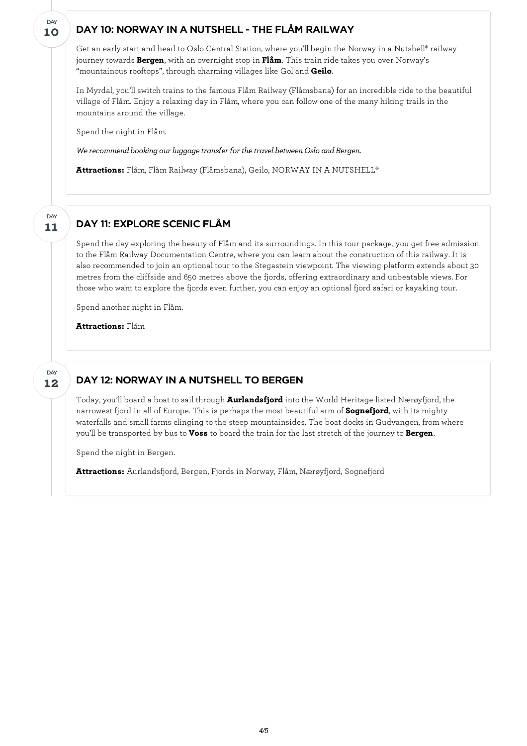### DAY 10: NORWAY IN A NUTSHELL - THE FLÅM RAILWAY

Get an early start and head to Oslo Central Station, where you'll begin the Norway in a Nutshell® railway journey towards **Bergen**, with an overnight stop in **Flåm**. This train ride takes you over Norway's "mountainous rooftops", through charming villages like Gol and **Geilo**.

In Myrdal, you'll switch trains to the famous Flåm Railway (Flåmsbana) for an incredible ride to the beautiful village of Flåm. Enjoy a relaxing day in Flåm, where you can follow one of the many hiking trails in the mountains around the village.

Spend the night in Flåm.

**10**

DAY

**11**

DAY

**12**

DAY

*We recommend booking our luggage transfer for the travel between Oslo and Bergen.* 

**Attractions:** Flåm, Flåm Railway (Flåmsbana), Geilo, NORWAY IN A NUTSHELL®

# DAY 11: EXPLORE SCENIC FLÅM

Spend the day exploring the beauty of Flåm and its surroundings. In this tour package, you get free admission to the Flåm Railway Documentation Centre, where you can learn about the construction of this railway. It is also recommended to join an optional tour to the Stegastein viewpoint. The viewing platform extends about 30 metres from the cliffside and 650 metres above the fjords, offering extraordinary and unbeatable views. For those who want to explore the fjords even further, you can enjoy an optional fjord safari or kayaking tour.

Spend another night in Flåm.

**Attractions:** Flåm

## DAY 12: NORWAY IN A NUTSHELL TO BERGEN

Today, you'll board a boat to sail through **Aurlandsfjord** into the World Heritage-listed Nærøyfjord, the narrowest fjord in all of Europe. This is perhaps the most beautiful arm of **Sognefjord**, with its mighty waterfalls and small farms clinging to the steep mountainsides. The boat docks in Gudvangen, from where you'll be transported by bus to **Voss** to board the train for the last stretch of the journey to **Bergen**.

Spend the night in Bergen.

**Attractions:** Aurlandsfjord, Bergen, Fjords in Norway, Flåm, Nærøyfjord, Sognefjord